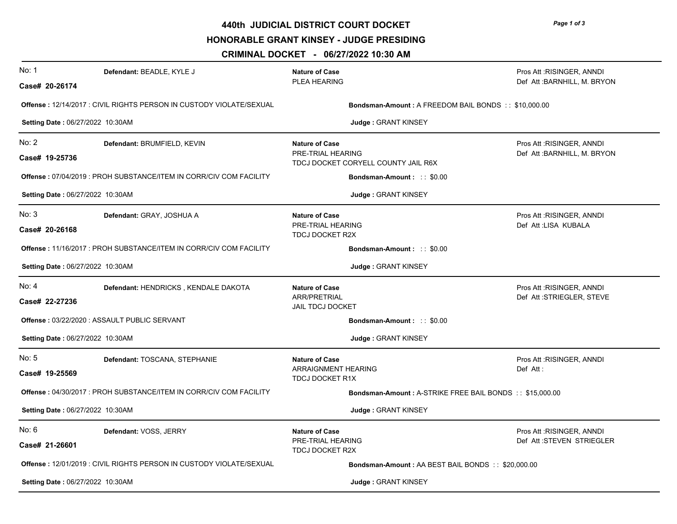**440th JUDICIAL DISTRICT COURT DOCKET**

**HONORABLE GRANT KINSEY - JUDGE PRESIDING** 

**CRIMINAL DOCKET - 06/27/2022 10:30 AM**

| No: 1                                                                | Defendant: BEADLE, KYLE J            | <b>Nature of Case</b>                                                             | Pros Att: RISINGER, ANNDI                                |  |
|----------------------------------------------------------------------|--------------------------------------|-----------------------------------------------------------------------------------|----------------------------------------------------------|--|
| Case# 20-26174                                                       |                                      | PLEA HEARING                                                                      | Def Att: BARNHILL, M. BRYON                              |  |
| Offense : 12/14/2017 : CIVIL RIGHTS PERSON IN CUSTODY VIOLATE/SEXUAL |                                      | Bondsman-Amount: A FREEDOM BAIL BONDS :: \$10,000.00                              |                                                          |  |
| Setting Date: 06/27/2022 10:30AM                                     |                                      | Judge: GRANT KINSEY                                                               |                                                          |  |
| No: 2<br>Case# 19-25736                                              | Defendant: BRUMFIELD, KEVIN          | <b>Nature of Case</b><br>PRE-TRIAL HEARING<br>TDCJ DOCKET CORYELL COUNTY JAIL R6X | Pros Att: RISINGER, ANNDI<br>Def Att: BARNHILL, M. BRYON |  |
| Offense: 07/04/2019 : PROH SUBSTANCE/ITEM IN CORR/CIV COM FACILITY   |                                      | Bondsman-Amount: :: \$0.00                                                        |                                                          |  |
| Setting Date: 06/27/2022 10:30AM                                     |                                      | Judge : GRANT KINSEY                                                              |                                                          |  |
| No: 3<br>Case# 20-26168                                              | Defendant: GRAY, JOSHUA A            | <b>Nature of Case</b><br>PRE-TRIAL HEARING<br><b>TDCJ DOCKET R2X</b>              | Pros Att: RISINGER, ANNDI<br>Def Att: LISA KUBALA        |  |
| Offense: 11/16/2017 : PROH SUBSTANCE/ITEM IN CORR/CIV COM FACILITY   |                                      | Bondsman-Amount: :: \$0.00                                                        |                                                          |  |
| Setting Date: 06/27/2022 10:30AM                                     |                                      | Judge: GRANT KINSEY                                                               |                                                          |  |
| No: 4<br>Case# 22-27236                                              | Defendant: HENDRICKS, KENDALE DAKOTA | <b>Nature of Case</b><br><b>ARR/PRETRIAL</b><br><b>JAIL TDCJ DOCKET</b>           | Pros Att: RISINGER, ANNDI<br>Def Att:STRIEGLER, STEVE    |  |
| Offense: 03/22/2020 : ASSAULT PUBLIC SERVANT                         |                                      | Bondsman-Amount: :: \$0.00                                                        |                                                          |  |
| Setting Date: 06/27/2022 10:30AM                                     |                                      | Judge: GRANT KINSEY                                                               |                                                          |  |
| No: 5<br>Case# 19-25569                                              | Defendant: TOSCANA, STEPHANIE        | <b>Nature of Case</b><br>ARRAIGNMENT HEARING<br><b>TDCJ DOCKET R1X</b>            | Pros Att : RISINGER, ANNDI<br>Def Att:                   |  |
| Offense: 04/30/2017 : PROH SUBSTANCE/ITEM IN CORR/CIV COM FACILITY   |                                      | <b>Bondsman-Amount: A-STRIKE FREE BAIL BONDS:: \$15,000.00</b>                    |                                                          |  |
| Setting Date: 06/27/2022 10:30AM                                     |                                      | Judge: GRANT KINSEY                                                               |                                                          |  |
| No: 6<br>Case# 21-26601                                              | Defendant: VOSS, JERRY               | <b>Nature of Case</b><br>PRE-TRIAL HEARING<br><b>TDCJ DOCKET R2X</b>              | Pros Att: RISINGER, ANNDI<br>Def Att:STEVEN STRIEGLER    |  |
| Offense: 12/01/2019: CIVIL RIGHTS PERSON IN CUSTODY VIOLATE/SEXUAL   |                                      |                                                                                   | Bondsman-Amount: AA BEST BAIL BONDS:: \$20,000.00        |  |
| Setting Date: 06/27/2022 10:30AM                                     |                                      | Judge: GRANT KINSEY                                                               |                                                          |  |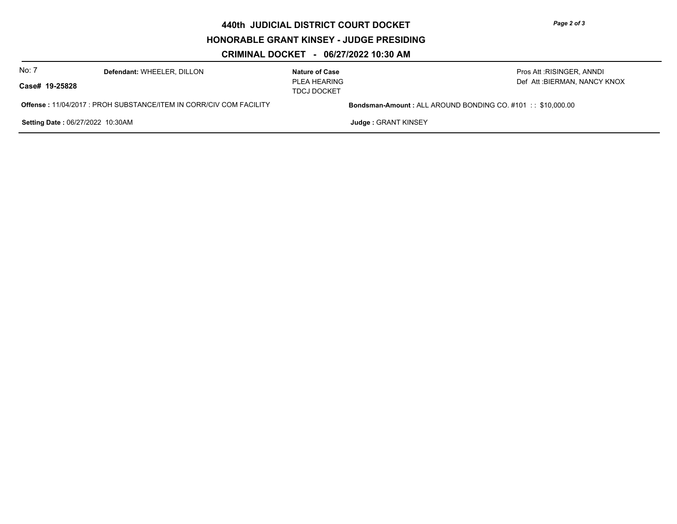**440th JUDICIAL DISTRICT COURT DOCKET**

**HONORABLE GRANT KINSEY - JUDGE PRESIDING** 

**CRIMINAL DOCKET - 06/27/2022 10:30 AM**

| No: 7                                                                      | Defendant: WHEELER, DILLON | <b>Nature of Case</b>              | Pros Att : RISINGER, ANNDI                                         |  |
|----------------------------------------------------------------------------|----------------------------|------------------------------------|--------------------------------------------------------------------|--|
| Case# 19-25828                                                             |                            | PLEA HEARING<br><b>TDCJ DOCKET</b> | Def Att :BIERMAN, NANCY KNOX                                       |  |
| <b>Offense : 11/04/2017 : PROH SUBSTANCE/ITEM IN CORR/CIV COM FACILITY</b> |                            |                                    | <b>Bondsman-Amount: ALL AROUND BONDING CO. #101 :: \$10.000.00</b> |  |
| <b>Setting Date: 06/27/2022 10:30AM</b>                                    |                            |                                    | Judge: GRANT KINSEY                                                |  |